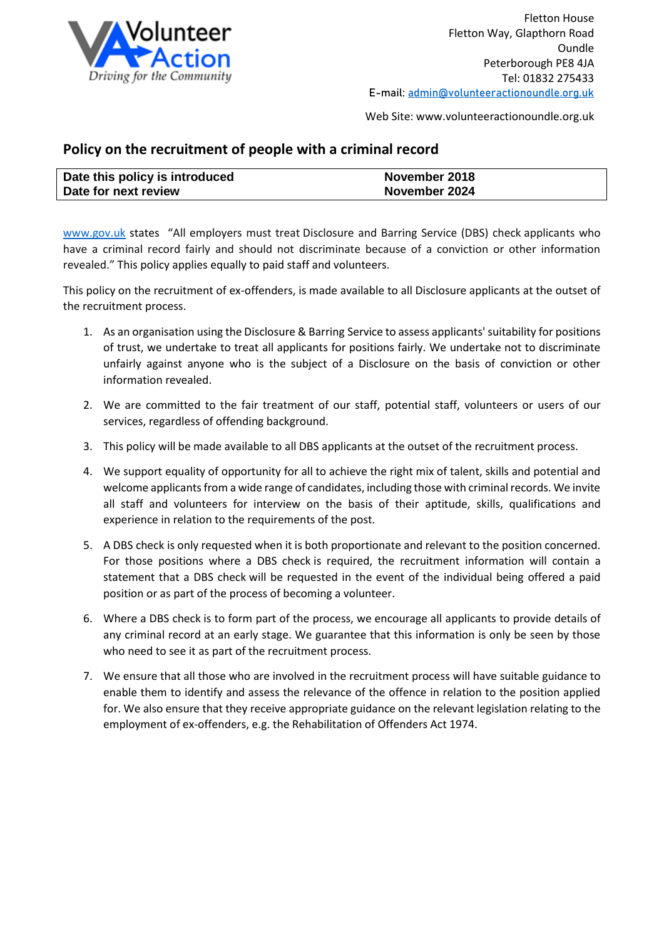

Web Site: www.volunteeractionoundle.org.uk

## **Policy on the recruitment of people with a criminal record**

| Date this policy is introduced | November 2018 |
|--------------------------------|---------------|
| Date for next review           | November 2024 |

[www.gov.uk](http://www.gov.uk/) states "All employers must treat Disclosure and Barring Service (DBS) check applicants who have a criminal record fairly and should not discriminate because of a conviction or other information revealed." This policy applies equally to paid staff and volunteers.

This policy on the recruitment of ex-offenders, is made available to all Disclosure applicants at the outset of the recruitment process.

- 1. As an organisation using the Disclosure & Barring Service to assess applicants' suitability for positions of trust, we undertake to treat all applicants for positions fairly. We undertake not to discriminate unfairly against anyone who is the subject of a Disclosure on the basis of conviction or other information revealed.
- 2. We are committed to the fair treatment of our staff, potential staff, volunteers or users of our services, regardless of offending background.
- 3. This policy will be made available to all DBS applicants at the outset of the recruitment process.
- 4. We support equality of opportunity for all to achieve the right mix of talent, skills and potential and welcome applicants from a wide range of candidates, including those with criminal records. We invite all staff and volunteers for interview on the basis of their aptitude, skills, qualifications and experience in relation to the requirements of the post.
- 5. A DBS check is only requested when it is both proportionate and relevant to the position concerned. For those positions where a DBS check is required, the recruitment information will contain a statement that a DBS check will be requested in the event of the individual being offered a paid position or as part of the process of becoming a volunteer.
- 6. Where a DBS check is to form part of the process, we encourage all applicants to provide details of any criminal record at an early stage. We guarantee that this information is only be seen by those who need to see it as part of the recruitment process.
- 7. We ensure that all those who are involved in the recruitment process will have suitable guidance to enable them to identify and assess the relevance of the offence in relation to the position applied for. We also ensure that they receive appropriate guidance on the relevant legislation relating to the employment of ex-offenders, e.g. the Rehabilitation of Offenders Act 1974.